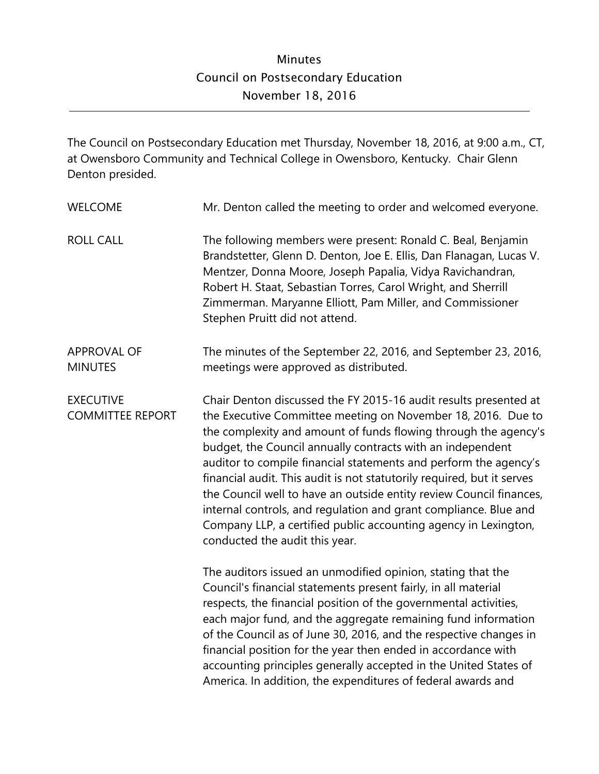The Council on Postsecondary Education met Thursday, November 18, 2016, at 9:00 a.m., CT, at Owensboro Community and Technical College in Owensboro, Kentucky. Chair Glenn Denton presided.

| <b>WELCOME</b>                              | Mr. Denton called the meeting to order and welcomed everyone.                                                                                                                                                                                                                                                                                                                                                                                                                                                                                                                                                                                                   |
|---------------------------------------------|-----------------------------------------------------------------------------------------------------------------------------------------------------------------------------------------------------------------------------------------------------------------------------------------------------------------------------------------------------------------------------------------------------------------------------------------------------------------------------------------------------------------------------------------------------------------------------------------------------------------------------------------------------------------|
| <b>ROLL CALL</b>                            | The following members were present: Ronald C. Beal, Benjamin<br>Brandstetter, Glenn D. Denton, Joe E. Ellis, Dan Flanagan, Lucas V.<br>Mentzer, Donna Moore, Joseph Papalia, Vidya Ravichandran,<br>Robert H. Staat, Sebastian Torres, Carol Wright, and Sherrill<br>Zimmerman. Maryanne Elliott, Pam Miller, and Commissioner<br>Stephen Pruitt did not attend.                                                                                                                                                                                                                                                                                                |
| <b>APPROVAL OF</b><br><b>MINUTES</b>        | The minutes of the September 22, 2016, and September 23, 2016,<br>meetings were approved as distributed.                                                                                                                                                                                                                                                                                                                                                                                                                                                                                                                                                        |
| <b>EXECUTIVE</b><br><b>COMMITTEE REPORT</b> | Chair Denton discussed the FY 2015-16 audit results presented at<br>the Executive Committee meeting on November 18, 2016. Due to<br>the complexity and amount of funds flowing through the agency's<br>budget, the Council annually contracts with an independent<br>auditor to compile financial statements and perform the agency's<br>financial audit. This audit is not statutorily required, but it serves<br>the Council well to have an outside entity review Council finances,<br>internal controls, and regulation and grant compliance. Blue and<br>Company LLP, a certified public accounting agency in Lexington,<br>conducted the audit this year. |
|                                             | The auditors issued an unmodified opinion, stating that the<br>Council's financial statements present fairly, in all material<br>respects, the financial position of the governmental activities,<br>each major fund, and the aggregate remaining fund information<br>of the Council as of June 30, 2016, and the respective changes in<br>financial position for the year then ended in accordance with<br>accounting principles generally accepted in the United States of<br>America. In addition, the expenditures of federal awards and                                                                                                                    |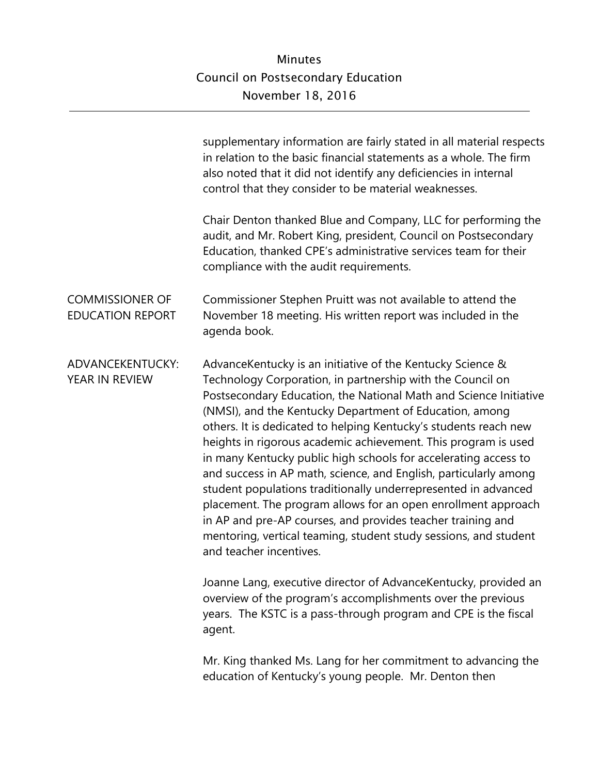|                                                   | supplementary information are fairly stated in all material respects<br>in relation to the basic financial statements as a whole. The firm<br>also noted that it did not identify any deficiencies in internal<br>control that they consider to be material weaknesses.                                                                                                                                                                                                                                                                                                                                                                                                                                                                                                                                                                |
|---------------------------------------------------|----------------------------------------------------------------------------------------------------------------------------------------------------------------------------------------------------------------------------------------------------------------------------------------------------------------------------------------------------------------------------------------------------------------------------------------------------------------------------------------------------------------------------------------------------------------------------------------------------------------------------------------------------------------------------------------------------------------------------------------------------------------------------------------------------------------------------------------|
|                                                   | Chair Denton thanked Blue and Company, LLC for performing the<br>audit, and Mr. Robert King, president, Council on Postsecondary<br>Education, thanked CPE's administrative services team for their<br>compliance with the audit requirements.                                                                                                                                                                                                                                                                                                                                                                                                                                                                                                                                                                                         |
| <b>COMMISSIONER OF</b><br><b>EDUCATION REPORT</b> | Commissioner Stephen Pruitt was not available to attend the<br>November 18 meeting. His written report was included in the<br>agenda book.                                                                                                                                                                                                                                                                                                                                                                                                                                                                                                                                                                                                                                                                                             |
| ADVANCEKENTUCKY:<br>YEAR IN REVIEW                | AdvanceKentucky is an initiative of the Kentucky Science &<br>Technology Corporation, in partnership with the Council on<br>Postsecondary Education, the National Math and Science Initiative<br>(NMSI), and the Kentucky Department of Education, among<br>others. It is dedicated to helping Kentucky's students reach new<br>heights in rigorous academic achievement. This program is used<br>in many Kentucky public high schools for accelerating access to<br>and success in AP math, science, and English, particularly among<br>student populations traditionally underrepresented in advanced<br>placement. The program allows for an open enrollment approach<br>in AP and pre-AP courses, and provides teacher training and<br>mentoring, vertical teaming, student study sessions, and student<br>and teacher incentives. |
|                                                   | Joanne Lang, executive director of AdvanceKentucky, provided an<br>overview of the program's accomplishments over the previous<br>years. The KSTC is a pass-through program and CPE is the fiscal<br>agent.                                                                                                                                                                                                                                                                                                                                                                                                                                                                                                                                                                                                                            |
|                                                   | Mr. King thanked Ms. Lang for her commitment to advancing the<br>education of Kentucky's young people. Mr. Denton then                                                                                                                                                                                                                                                                                                                                                                                                                                                                                                                                                                                                                                                                                                                 |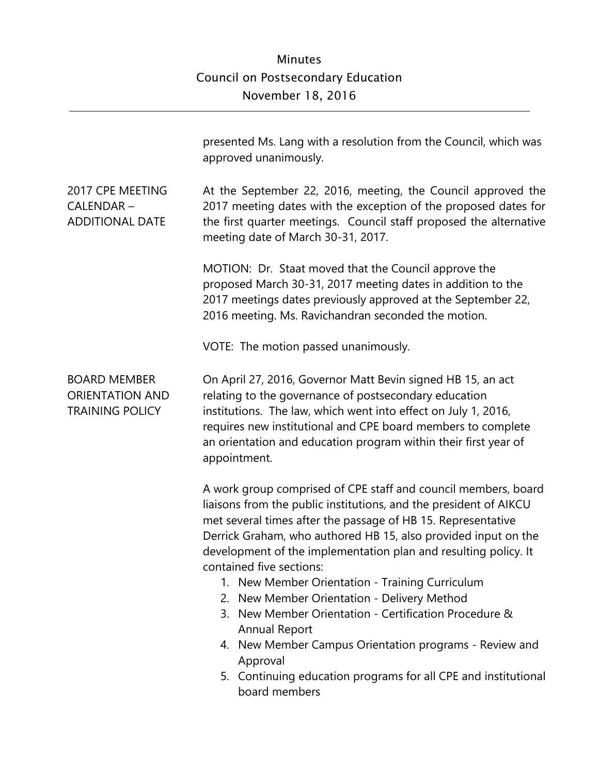|                                                                         | presented Ms. Lang with a resolution from the Council, which was<br>approved unanimously.                                                                                                                                                                                                                                                                                                                                                                                                                                                                                                                                                                                                                        |
|-------------------------------------------------------------------------|------------------------------------------------------------------------------------------------------------------------------------------------------------------------------------------------------------------------------------------------------------------------------------------------------------------------------------------------------------------------------------------------------------------------------------------------------------------------------------------------------------------------------------------------------------------------------------------------------------------------------------------------------------------------------------------------------------------|
| 2017 CPE MEETING<br>CALENDAR-<br><b>ADDITIONAL DATE</b>                 | At the September 22, 2016, meeting, the Council approved the<br>2017 meeting dates with the exception of the proposed dates for<br>the first quarter meetings. Council staff proposed the alternative<br>meeting date of March 30-31, 2017.                                                                                                                                                                                                                                                                                                                                                                                                                                                                      |
|                                                                         | MOTION: Dr. Staat moved that the Council approve the<br>proposed March 30-31, 2017 meeting dates in addition to the<br>2017 meetings dates previously approved at the September 22,<br>2016 meeting. Ms. Ravichandran seconded the motion.                                                                                                                                                                                                                                                                                                                                                                                                                                                                       |
|                                                                         | VOTE: The motion passed unanimously.                                                                                                                                                                                                                                                                                                                                                                                                                                                                                                                                                                                                                                                                             |
| <b>BOARD MEMBER</b><br><b>ORIENTATION AND</b><br><b>TRAINING POLICY</b> | On April 27, 2016, Governor Matt Bevin signed HB 15, an act<br>relating to the governance of postsecondary education<br>institutions. The law, which went into effect on July 1, 2016,<br>requires new institutional and CPE board members to complete<br>an orientation and education program within their first year of<br>appointment.                                                                                                                                                                                                                                                                                                                                                                        |
|                                                                         | A work group comprised of CPE staff and council members, board<br>liaisons from the public institutions, and the president of AIKCU<br>met several times after the passage of HB 15. Representative<br>Derrick Graham, who authored HB 15, also provided input on the<br>development of the implementation plan and resulting policy. It<br>contained five sections:<br>1. New Member Orientation - Training Curriculum<br>2. New Member Orientation - Delivery Method<br>3. New Member Orientation - Certification Procedure &<br><b>Annual Report</b><br>4. New Member Campus Orientation programs - Review and<br>Approval<br>5. Continuing education programs for all CPE and institutional<br>board members |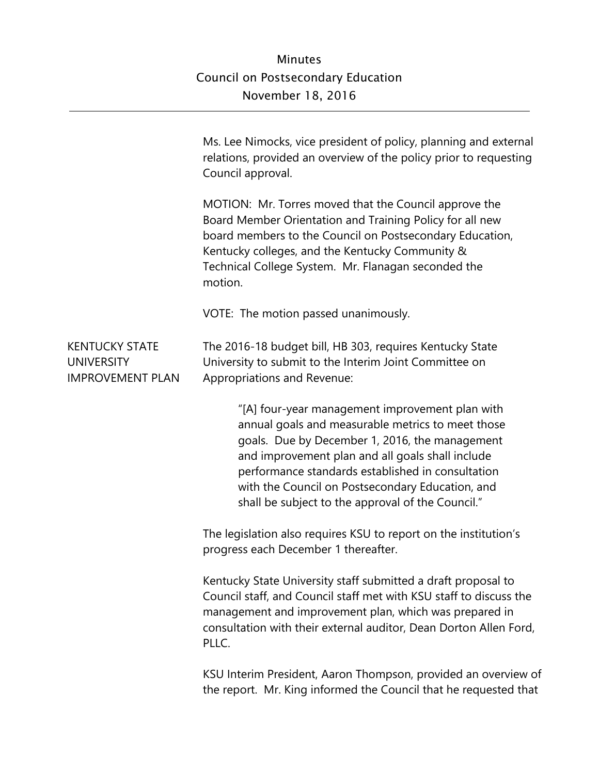|                                                                       | Ms. Lee Nimocks, vice president of policy, planning and external<br>relations, provided an overview of the policy prior to requesting<br>Council approval.                                                                                                                                                                                                               |
|-----------------------------------------------------------------------|--------------------------------------------------------------------------------------------------------------------------------------------------------------------------------------------------------------------------------------------------------------------------------------------------------------------------------------------------------------------------|
|                                                                       | MOTION: Mr. Torres moved that the Council approve the<br>Board Member Orientation and Training Policy for all new<br>board members to the Council on Postsecondary Education,<br>Kentucky colleges, and the Kentucky Community &<br>Technical College System. Mr. Flanagan seconded the<br>motion.                                                                       |
|                                                                       | VOTE: The motion passed unanimously.                                                                                                                                                                                                                                                                                                                                     |
| <b>KENTUCKY STATE</b><br><b>UNIVERSITY</b><br><b>IMPROVEMENT PLAN</b> | The 2016-18 budget bill, HB 303, requires Kentucky State<br>University to submit to the Interim Joint Committee on<br>Appropriations and Revenue:                                                                                                                                                                                                                        |
|                                                                       | "[A] four-year management improvement plan with<br>annual goals and measurable metrics to meet those<br>goals. Due by December 1, 2016, the management<br>and improvement plan and all goals shall include<br>performance standards established in consultation<br>with the Council on Postsecondary Education, and<br>shall be subject to the approval of the Council." |
|                                                                       | The legislation also requires KSU to report on the institution's<br>progress each December 1 thereafter.                                                                                                                                                                                                                                                                 |
|                                                                       | Kentucky State University staff submitted a draft proposal to<br>Council staff, and Council staff met with KSU staff to discuss the<br>management and improvement plan, which was prepared in<br>consultation with their external auditor, Dean Dorton Allen Ford,<br>PLLC.                                                                                              |
|                                                                       | KSU Interim President, Aaron Thompson, provided an overview of<br>the report. Mr. King informed the Council that he requested that                                                                                                                                                                                                                                       |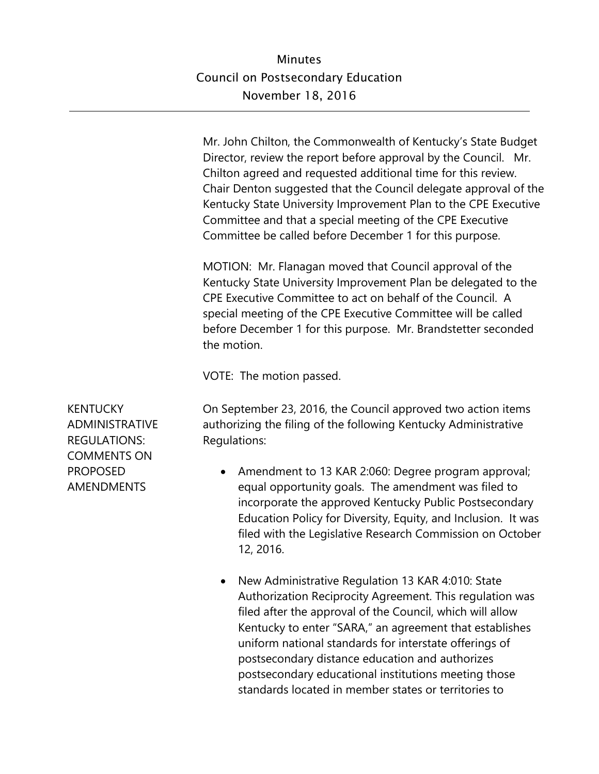Mr. John Chilton, the Commonwealth of Kentucky's State Budget Director, review the report before approval by the Council. Mr. Chilton agreed and requested additional time for this review. Chair Denton suggested that the Council delegate approval of the Kentucky State University Improvement Plan to the CPE Executive Committee and that a special meeting of the CPE Executive Committee be called before December 1 for this purpose.

MOTION: Mr. Flanagan moved that Council approval of the Kentucky State University Improvement Plan be delegated to the CPE Executive Committee to act on behalf of the Council. A special meeting of the CPE Executive Committee will be called before December 1 for this purpose. Mr. Brandstetter seconded the motion.

VOTE: The motion passed.

On September 23, 2016, the Council approved two action items authorizing the filing of the following Kentucky Administrative Regulations:

- Amendment to 13 KAR 2:060: Degree program approval; equal opportunity goals. The amendment was filed to incorporate the approved Kentucky Public Postsecondary Education Policy for Diversity, Equity, and Inclusion. It was filed with the Legislative Research Commission on October 12, 2016.
- New Administrative Regulation 13 KAR 4:010: State Authorization Reciprocity Agreement. This regulation was filed after the approval of the Council, which will allow Kentucky to enter "SARA," an agreement that establishes uniform national standards for interstate offerings of postsecondary distance education and authorizes postsecondary educational institutions meeting those standards located in member states or territories to

**KENTUCKY** ADMINISTRATIVE REGULATIONS: COMMENTS ON PROPOSED AMENDMENTS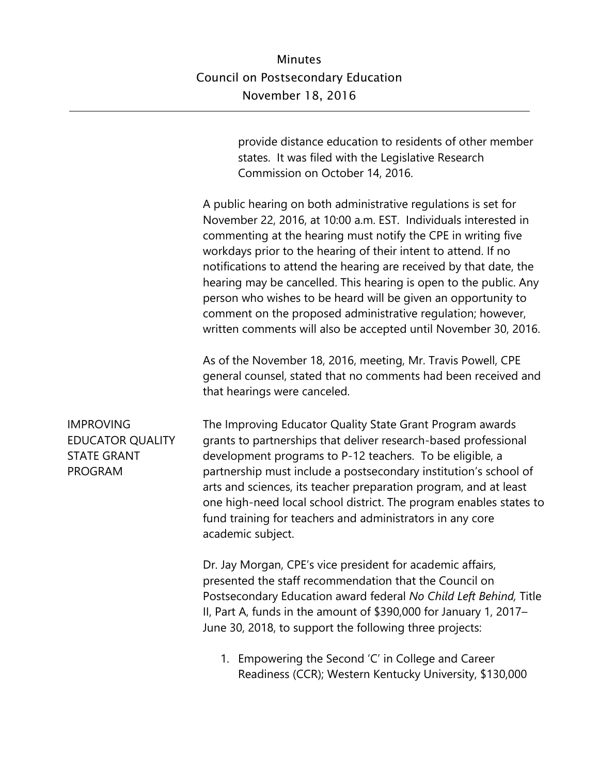provide distance education to residents of other member states. It was filed with the Legislative Research Commission on October 14, 2016.

A public hearing on both administrative regulations is set for November 22, 2016, at 10:00 a.m. EST. Individuals interested in commenting at the hearing must notify the CPE in writing five workdays prior to the hearing of their intent to attend. If no notifications to attend the hearing are received by that date, the hearing may be cancelled. This hearing is open to the public. Any person who wishes to be heard will be given an opportunity to comment on the proposed administrative regulation; however, written comments will also be accepted until November 30, 2016.

As of the November 18, 2016, meeting, Mr. Travis Powell, CPE general counsel, stated that no comments had been received and that hearings were canceled.

The Improving Educator Quality State Grant Program awards grants to partnerships that deliver research-based professional development programs to P-12 teachers. To be eligible, a partnership must include a postsecondary institution's school of arts and sciences, its teacher preparation program, and at least one high-need local school district. The program enables states to fund training for teachers and administrators in any core academic subject.

> Dr. Jay Morgan, CPE's vice president for academic affairs, presented the staff recommendation that the Council on Postsecondary Education award federal *No Child Left Behind,* Title II, Part A, funds in the amount of \$390,000 for January 1, 2017– June 30, 2018, to support the following three projects:

1. Empowering the Second 'C' in College and Career Readiness (CCR); Western Kentucky University, \$130,000

IMPROVING EDUCATOR QUALITY STATE GRANT PROGRAM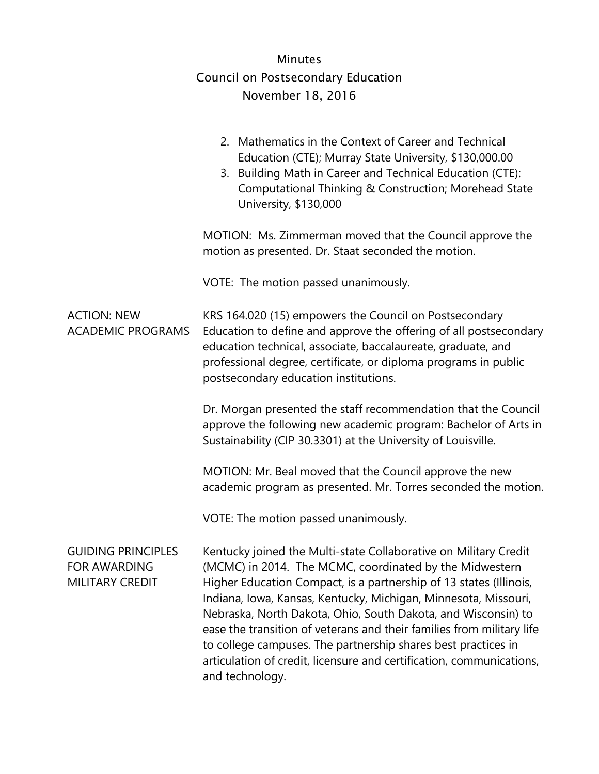|                                                                     | 2. Mathematics in the Context of Career and Technical<br>Education (CTE); Murray State University, \$130,000.00<br>3. Building Math in Career and Technical Education (CTE):<br>Computational Thinking & Construction; Morehead State<br>University, \$130,000                                                                                                                                                                                                                                                                                                             |
|---------------------------------------------------------------------|----------------------------------------------------------------------------------------------------------------------------------------------------------------------------------------------------------------------------------------------------------------------------------------------------------------------------------------------------------------------------------------------------------------------------------------------------------------------------------------------------------------------------------------------------------------------------|
|                                                                     | MOTION: Ms. Zimmerman moved that the Council approve the<br>motion as presented. Dr. Staat seconded the motion.                                                                                                                                                                                                                                                                                                                                                                                                                                                            |
|                                                                     | VOTE: The motion passed unanimously.                                                                                                                                                                                                                                                                                                                                                                                                                                                                                                                                       |
| <b>ACTION: NEW</b><br><b>ACADEMIC PROGRAMS</b>                      | KRS 164.020 (15) empowers the Council on Postsecondary<br>Education to define and approve the offering of all postsecondary<br>education technical, associate, baccalaureate, graduate, and<br>professional degree, certificate, or diploma programs in public<br>postsecondary education institutions.                                                                                                                                                                                                                                                                    |
|                                                                     | Dr. Morgan presented the staff recommendation that the Council<br>approve the following new academic program: Bachelor of Arts in<br>Sustainability (CIP 30.3301) at the University of Louisville.                                                                                                                                                                                                                                                                                                                                                                         |
|                                                                     | MOTION: Mr. Beal moved that the Council approve the new<br>academic program as presented. Mr. Torres seconded the motion.                                                                                                                                                                                                                                                                                                                                                                                                                                                  |
|                                                                     | VOTE: The motion passed unanimously.                                                                                                                                                                                                                                                                                                                                                                                                                                                                                                                                       |
| <b>GUIDING PRINCIPLES</b><br>FOR AWARDING<br><b>MILITARY CREDIT</b> | Kentucky joined the Multi-state Collaborative on Military Credit<br>(MCMC) in 2014. The MCMC, coordinated by the Midwestern<br>Higher Education Compact, is a partnership of 13 states (Illinois,<br>Indiana, Iowa, Kansas, Kentucky, Michigan, Minnesota, Missouri,<br>Nebraska, North Dakota, Ohio, South Dakota, and Wisconsin) to<br>ease the transition of veterans and their families from military life<br>to college campuses. The partnership shares best practices in<br>articulation of credit, licensure and certification, communications,<br>and technology. |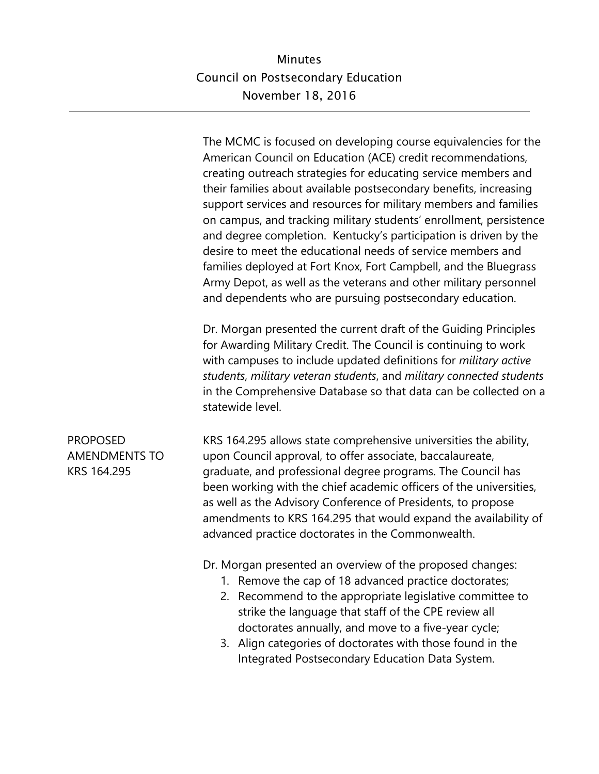The MCMC is focused on developing course equivalencies for the American Council on Education (ACE) credit recommendations, creating outreach strategies for educating service members and their families about available postsecondary benefits, increasing support services and resources for military members and families on campus, and tracking military students' enrollment, persistence and degree completion. Kentucky's participation is driven by the desire to meet the educational needs of service members and families deployed at Fort Knox, Fort Campbell, and the Bluegrass Army Depot, as well as the veterans and other military personnel and dependents who are pursuing postsecondary education.

Dr. Morgan presented the current draft of the Guiding Principles for Awarding Military Credit. The Council is continuing to work with campuses to include updated definitions for *military active students*, *military veteran students*, and *military connected students*  in the Comprehensive Database so that data can be collected on a statewide level.

PROPOSED AMENDMENTS TO KRS 164.295

KRS 164.295 allows state comprehensive universities the ability, upon Council approval, to offer associate, baccalaureate, graduate, and professional degree programs. The Council has been working with the chief academic officers of the universities, as well as the Advisory Conference of Presidents, to propose amendments to KRS 164.295 that would expand the availability of advanced practice doctorates in the Commonwealth.

Dr. Morgan presented an overview of the proposed changes:

- 1. Remove the cap of 18 advanced practice doctorates;
- 2. Recommend to the appropriate legislative committee to strike the language that staff of the CPE review all doctorates annually, and move to a five-year cycle;
- 3. Align categories of doctorates with those found in the Integrated Postsecondary Education Data System.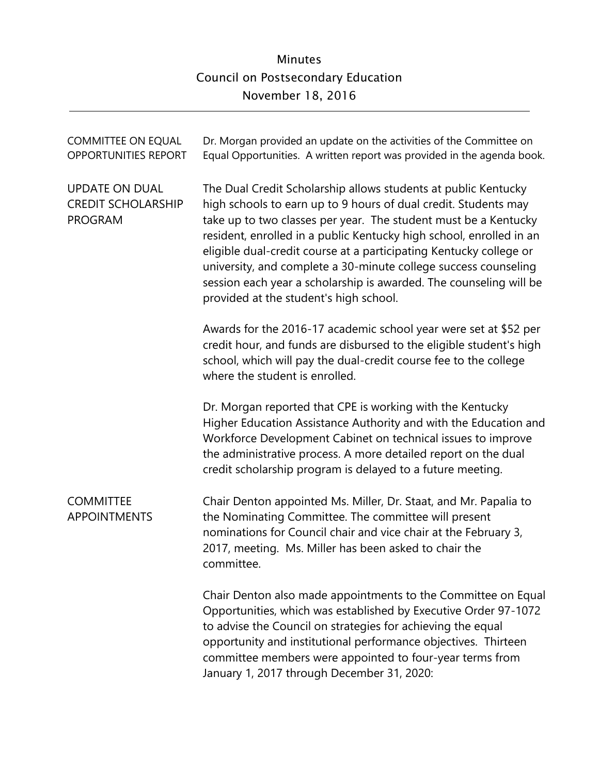| <b>COMMITTEE ON EQUAL</b><br><b>OPPORTUNITIES REPORT</b>             | Dr. Morgan provided an update on the activities of the Committee on<br>Equal Opportunities. A written report was provided in the agenda book.                                                                                                                                                                                                                                                                                                                                                                                        |
|----------------------------------------------------------------------|--------------------------------------------------------------------------------------------------------------------------------------------------------------------------------------------------------------------------------------------------------------------------------------------------------------------------------------------------------------------------------------------------------------------------------------------------------------------------------------------------------------------------------------|
| <b>UPDATE ON DUAL</b><br><b>CREDIT SCHOLARSHIP</b><br><b>PROGRAM</b> | The Dual Credit Scholarship allows students at public Kentucky<br>high schools to earn up to 9 hours of dual credit. Students may<br>take up to two classes per year. The student must be a Kentucky<br>resident, enrolled in a public Kentucky high school, enrolled in an<br>eligible dual-credit course at a participating Kentucky college or<br>university, and complete a 30-minute college success counseling<br>session each year a scholarship is awarded. The counseling will be<br>provided at the student's high school. |
|                                                                      | Awards for the 2016-17 academic school year were set at \$52 per<br>credit hour, and funds are disbursed to the eligible student's high<br>school, which will pay the dual-credit course fee to the college<br>where the student is enrolled.                                                                                                                                                                                                                                                                                        |
|                                                                      | Dr. Morgan reported that CPE is working with the Kentucky<br>Higher Education Assistance Authority and with the Education and<br>Workforce Development Cabinet on technical issues to improve<br>the administrative process. A more detailed report on the dual<br>credit scholarship program is delayed to a future meeting.                                                                                                                                                                                                        |
| <b>COMMITTEE</b><br><b>APPOINTMENTS</b>                              | Chair Denton appointed Ms. Miller, Dr. Staat, and Mr. Papalia to<br>the Nominating Committee. The committee will present<br>nominations for Council chair and vice chair at the February 3,<br>2017, meeting. Ms. Miller has been asked to chair the<br>committee.                                                                                                                                                                                                                                                                   |
|                                                                      | Chair Denton also made appointments to the Committee on Equal<br>Opportunities, which was established by Executive Order 97-1072<br>to advise the Council on strategies for achieving the equal<br>opportunity and institutional performance objectives. Thirteen<br>committee members were appointed to four-year terms from<br>January 1, 2017 through December 31, 2020:                                                                                                                                                          |